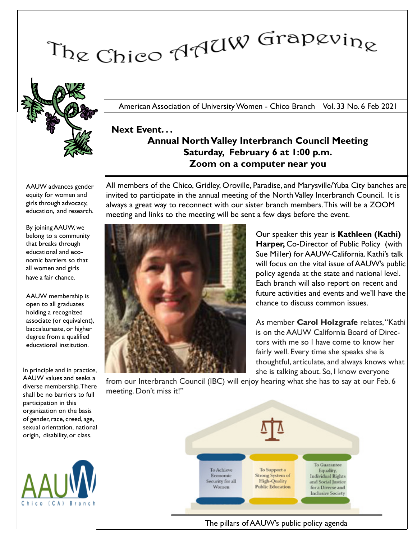# The Chico AAUW Grapevine



American Association of University Women - Chico Branch Vol. 33 No. 6 Feb 2021

## Next Event. . . Annual North Valley Interbranch Council Meeting Saturday, February 6 at 1:00 p.m. Zoom on a computer near you

AAUW advances gender equity for women and girls through advocacy, education, and research.

By joining AAUW, we belong to a community that breaks through educational and economic barriers so that all women and girls have a fair chance.

AAUW membership is open to all graduates holding a recognized associate (or equivalent), baccalaureate, or higher degree from a qualified educational institution.

In principle and in practice, AAUW values and seeks a diverse membership. There shall be no barriers to full participation in this organization on the basis of gender, race, creed, age, sexual orientation, national origin, disability, or class.



All members of the Chico, Gridley, Oroville, Paradise, and Marysville/Yuba City banches are invited to participate in the annual meeting of the North Valley Interbranch Council. It is always a great way to reconnect with our sister branch members.This will be a ZOOM meeting and links to the meeting will be sent a few days before the event.



Our speaker this year is Kathleen (Kathi) Harper, Co-Director of Public Policy (with Sue Miller) for AAUW-California. Kathi's talk will focus on the vital issue of AAUW's public policy agenda at the state and national level. Each branch will also report on recent and future activities and events and we'll have the chance to discuss common issues.

As member Carol Holzgrafe relates, "Kathi is on the AAUW California Board of Directors with me so I have come to know her fairly well. Every time she speaks she is thoughtful, articulate, and always knows what she is talking about. So, I know everyone

from our Interbranch Council (IBC) will enjoy hearing what she has to say at our Feb. 6 meeting. Don't miss it!"



The pillars of AAUW's public policy agenda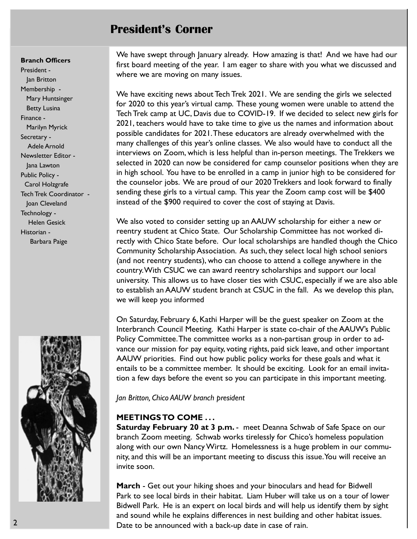## President's Corner

#### Branch Officers

President - Jan Britton Membership - Mary Huntsinger Betty Lusina Finance - Marilyn Myrick Secretary - Adele Arnold Newsletter Editor - Jana Lawton Public Policy - Carol Holzgrafe Tech Trek Coordinator - Joan Cleveland Technology - Helen Gesick Historian - Barbara Paige



We have swept through January already. How amazing is that! And we have had our first board meeting of the year. I am eager to share with you what we discussed and where we are moving on many issues.

We have exciting news about Tech Trek 2021. We are sending the girls we selected for 2020 to this year's virtual camp. These young women were unable to attend the Tech Trek camp at UC, Davis due to COVID-19. If we decided to select new girls for 2021, teachers would have to take time to give us the names and information about possible candidates for 2021.These educators are already overwhelmed with the many challenges of this year's online classes. We also would have to conduct all the interviews on Zoom, which is less helpful than in-person meetings. The Trekkers we selected in 2020 can now be considered for camp counselor positions when they are in high school. You have to be enrolled in a camp in junior high to be considered for the counselor jobs. We are proud of our 2020 Trekkers and look forward to finally sending these girls to a virtual camp. This year the Zoom camp cost will be \$400 instead of the \$900 required to cover the cost of staying at Davis.

We also voted to consider setting up an AAUW scholarship for either a new or reentry student at Chico State. Our Scholarship Committee has not worked directly with Chico State before. Our local scholarships are handled though the Chico Community Scholarship Association. As such, they select local high school seniors (and not reentry students), who can choose to attend a college anywhere in the country. With CSUC we can award reentry scholarships and support our local university. This allows us to have closer ties with CSUC, especially if we are also able to establish an AAUW student branch at CSUC in the fall. As we develop this plan, we will keep you informed

On Saturday, February 6, Kathi Harper will be the guest speaker on Zoom at the Interbranch Council Meeting. Kathi Harper is state co-chair of the AAUW's Public Policy Committee. The committee works as a non-partisan group in order to advance our mission for pay equity, voting rights, paid sick leave, and other important AAUW priorities. Find out how public policy works for these goals and what it entails to be a committee member. It should be exciting. Look for an email invitation a few days before the event so you can participate in this important meeting.

#### Jan Britton, Chico AAUW branch president

#### MEETINGS TO COME . . .

**Saturday February 20 at 3 p.m.** - meet Deanna Schwab of Safe Space on our branch Zoom meeting. Schwab works tirelessly for Chico's homeless population along with our own Nancy Wirtz. Homelessness is a huge problem in our community, and this will be an important meeting to discuss this issue. You will receive an invite soon.

March - Get out your hiking shoes and your binoculars and head for Bidwell Park to see local birds in their habitat. Liam Huber will take us on a tour of lower Bidwell Park. He is an expert on local birds and will help us identify them by sight and sound while he explains differences in nest building and other habitat issues. Date to be announced with a back-up date in case of rain.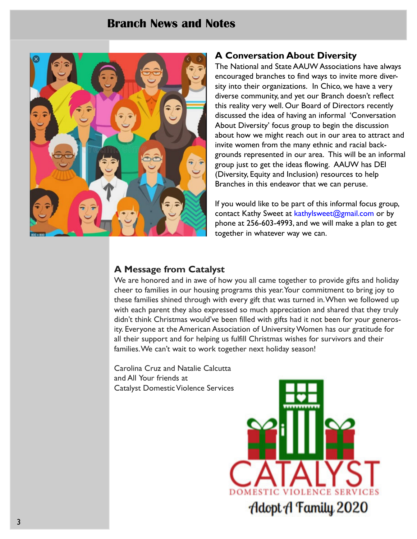## Branch News and Notes



### A Conversation About Diversity

The National and State AAUW Associations have always encouraged branches to find ways to invite more diversity into their organizations. In Chico, we have a very diverse community, and yet our Branch doesn't reflect this reality very well. Our Board of Directors recently discussed the idea of having an informal 'Conversation About Diversity' focus group to begin the discussion about how we might reach out in our area to attract and invite women from the many ethnic and racial backgrounds represented in our area. This will be an informal group just to get the ideas flowing. AAUW has DEI (Diversity, Equity and Inclusion) resources to help Branches in this endeavor that we can peruse.

If you would like to be part of this informal focus group, contact Kathy Sweet at kathylsweet@gmail.com or by phone at 256-603-4993, and we will make a plan to get together in whatever way we can.

#### A Message from Catalyst

We are honored and in awe of how you all came together to provide gifts and holiday cheer to families in our housing programs this year. Your commitment to bring joy to these families shined through with every gift that was turned in.When we followed up with each parent they also expressed so much appreciation and shared that they truly didn't think Christmas would've been filled with gifts had it not been for your generosity. Everyone at the American Association of University Women has our gratitude for all their support and for helping us fulfill Christmas wishes for survivors and their families. We can't wait to work together next holiday season!

Carolina Cruz and Natalie Calcutta and All Your friends at Catalyst Domestic Violence Services

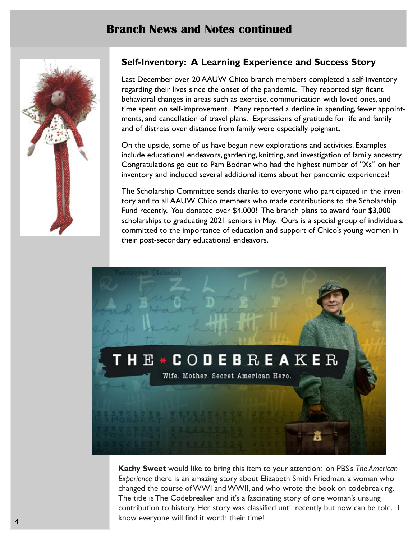## Branch News and Notes continued



## Self-Inventory: A Learning Experience and Success Story

Last December over 20 AAUW Chico branch members completed a self-inventory regarding their lives since the onset of the pandemic. They reported significant behavioral changes in areas such as exercise, communication with loved ones, and time spent on self-improvement. Many reported a decline in spending, fewer appointments, and cancellation of travel plans. Expressions of gratitude for life and family and of distress over distance from family were especially poignant.

On the upside, some of us have begun new explorations and activities. Examples include educational endeavors, gardening, knitting, and investigation of family ancestry. Congratulations go out to Pam Bodnar who had the highest number of "Xs" on her inventory and included several additional items about her pandemic experiences!

The Scholarship Committee sends thanks to everyone who participated in the inventory and to all AAUW Chico members who made contributions to the Scholarship Fund recently. You donated over \$4,000! The branch plans to award four \$3,000 scholarships to graduating 2021 seniors in May. Ours is a special group of individuals, committed to the importance of education and support of Chico's young women in their post-secondary educational endeavors.



Kathy Sweet would like to bring this item to your attention: on PBS's The American Experience there is an amazing story about Elizabeth Smith Friedman, a woman who changed the course of WWI and WWII, and who wrote the book on codebreaking. The title is The Codebreaker and it's a fascinating story of one woman's unsung contribution to history. Her story was classified until recently but now can be told. I know everyone will find it worth their time!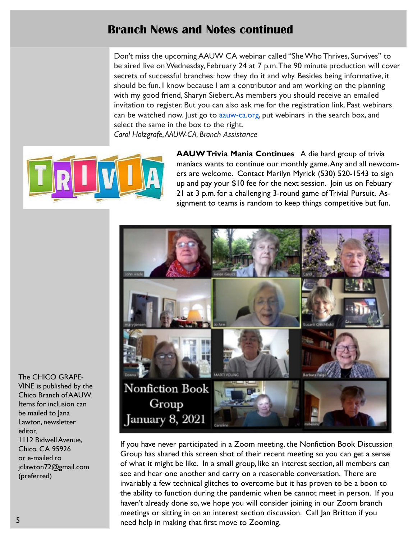## Branch News and Notes continued

Don't miss the upcoming AAUW CA webinar called "She Who Thrives, Survives" to be aired live on Wednesday, February 24 at 7 p.m.The 90 minute production will cover secrets of successful branches: how they do it and why. Besides being informative, it should be fun. I know because I am a contributor and am working on the planning with my good friend, Sharyn Siebert.As members you should receive an emailed invitation to register. But you can also ask me for the registration link. Past webinars can be watched now. Just go to aauw-ca.org, put webinars in the search box, and select the same in the box to the right. Carol Holzgrafe, AAUW-CA, Branch Assistance



AAUW Trivia Mania Continues A die hard group of trivia maniacs wants to continue our monthly game. Any and all newcomers are welcome. Contact Marilyn Myrick (530) 520-1543 to sign up and pay your \$10 fee for the next session. Join us on Febuary 21 at 3 p.m. for a challenging 3-round game of Trivial Pursuit. Assignment to teams is random to keep things competitive but fun.



If you have never participated in a Zoom meeting, the Nonfiction Book Discussion Group has shared this screen shot of their recent meeting so you can get a sense of what it might be like. In a small group, like an interest section, all members can see and hear one another and carry on a reasonable conversation. There are invariably a few technical glitches to overcome but it has proven to be a boon to the ability to function during the pandemic when be cannot meet in person. If you haven't already done so, we hope you will consider joining in our Zoom branch meetings or sitting in on an interest section discussion. Call Jan Britton if you need help in making that first move to Zooming.

The CHICO GRAPE-VINE is published by the Chico Branch of AAUW. Items for inclusion can be mailed to Jana Lawton, newsletter editor, 1112 Bidwell Avenue, Chico, CA 95926 or e-mailed to jdlawton72@gmail.com (preferred)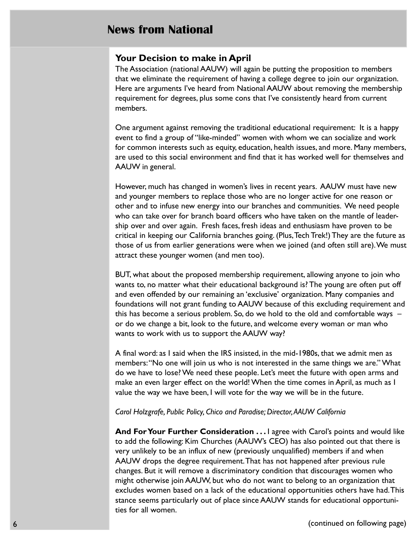## News from National

#### Your Decision to make in April

The Association (national AAUW) will again be putting the proposition to members that we eliminate the requirement of having a college degree to join our organization. Here are arguments I've heard from National AAUW about removing the membership requirement for degrees, plus some cons that I've consistently heard from current members.

One argument against removing the traditional educational requirement: It is a happy event to find a group of "like-minded" women with whom we can socialize and work for common interests such as equity, education, health issues, and more. Many members, are used to this social environment and find that it has worked well for themselves and AAUW in general.

However, much has changed in women's lives in recent years. AAUW must have new and younger members to replace those who are no longer active for one reason or other and to infuse new energy into our branches and communities. We need people who can take over for branch board officers who have taken on the mantle of leadership over and over again. Fresh faces, fresh ideas and enthusiasm have proven to be critical in keeping our California branches going. (Plus, Tech Trek!) They are the future as those of us from earlier generations were when we joined (and often still are). We must attract these younger women (and men too).

BUT, what about the proposed membership requirement, allowing anyone to join who wants to, no matter what their educational background is? The young are often put off and even offended by our remaining an 'exclusive' organization. Many companies and foundations will not grant funding to AAUW because of this excluding requirement and this has become a serious problem. So, do we hold to the old and comfortable ways – or do we change a bit, look to the future, and welcome every woman or man who wants to work with us to support the AAUW way?

A final word: as I said when the IRS insisted, in the mid-1980s, that we admit men as members:"No one will join us who is not interested in the same things we are." What do we have to lose? We need these people. Let's meet the future with open arms and make an even larger effect on the world! When the time comes in April, as much as I value the way we have been, I will vote for the way we will be in the future.

#### Carol Holzgrafe, Public Policy, Chico and Paradise; Director, AAUW California

And For Your Further Consideration ... I agree with Carol's points and would like to add the following: Kim Churches (AAUW's CEO) has also pointed out that there is very unlikely to be an influx of new (previously unqualified) members if and when AAUW drops the degree requirement.That has not happened after previous rule changes. But it will remove a discriminatory condition that discourages women who might otherwise join AAUW, but who do not want to belong to an organization that excludes women based on a lack of the educational opportunities others have had.This stance seems particularly out of place since AAUW stands for educational opportunities for all women.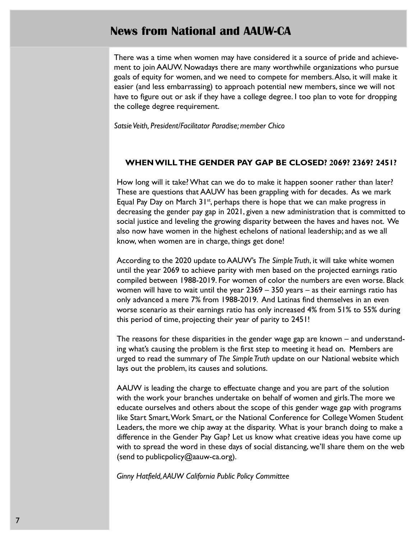## News from National and AAUW-CA

There was a time when women may have considered it a source of pride and achievement to join AAUW. Nowadays there are many worthwhile organizations who pursue goals of equity for women, and we need to compete for members.Also, it will make it easier (and less embarrassing) to approach potential new members, since we will not have to figure out or ask if they have a college degree. I too plan to vote for dropping the college degree requirement.

Satsie Veith, President/Facilitator Paradise; member Chico

#### WHEN WILL THE GENDER PAY GAP BE CLOSED? **2**069? 2369? 2451?

How long will it take? What can we do to make it happen sooner rather than later? These are questions that AAUW has been grappling with for decades. As we mark Equal Pay Day on March 31<sup>st</sup>, perhaps there is hope that we can make progress in decreasing the gender pay gap in 2021, given a new administration that is committed to social justice and leveling the growing disparity between the haves and haves not. We also now have women in the highest echelons of national leadership; and as we all know, when women are in charge, things get done!

According to the 2020 update to AAUW's The Simple Truth, it will take white women until the year 2069 to achieve parity with men based on the projected earnings ratio compiled between 1988-2019. For women of color the numbers are even worse. Black women will have to wait until the year  $2369 - 350$  years – as their earnings ratio has only advanced a mere 7% from 1988-2019. And Latinas find themselves in an even worse scenario as their earnings ratio has only increased 4% from 51% to 55% during this period of time, projecting their year of parity to 2451!

The reasons for these disparities in the gender wage gap are known – and understanding what's causing the problem is the first step to meeting it head on. Members are urged to read the summary of The Simple Truth update on our National website which lays out the problem, its causes and solutions.

AAUW is leading the charge to effectuate change and you are part of the solution with the work your branches undertake on behalf of women and girls.The more we educate ourselves and others about the scope of this gender wage gap with programs like Start Smart, Work Smart, or the National Conference for College Women Student Leaders, the more we chip away at the disparity. What is your branch doing to make a difference in the Gender Pay Gap? Let us know what creative ideas you have come up with to spread the word in these days of social distancing, we'll share them on the web (send to publicpolicy@aauw-ca.org).

Ginny Hatfield,AAUW California Public Policy Committee